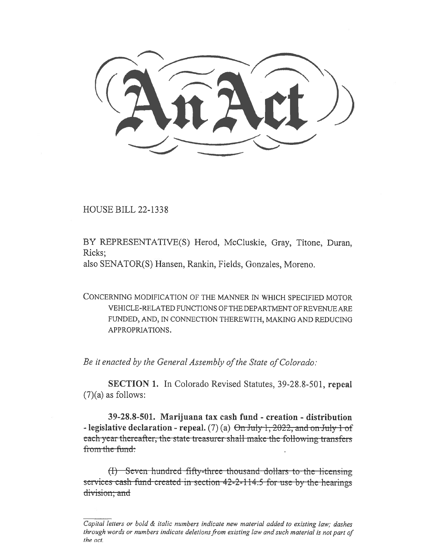HOUSE BILL 22-1338

BY REPRESENTATIVE(S) Herod, McCluskie, Gray, Titone, Duran, Ricks;

also SENATOR(S) Hansen, Rankin, Fields, Gonzales, Moreno.

CONCERNING MODIFICATION OF THE MANNER IN WHICH SPECIFIED MOTOR VEHICLE-RELATED FUNCTIONS OF THE DEPARTMENT OF REVENUE ARE FUNDED, AND, IN CONNECTION THEREWITH, MAKING AND REDUCING APPROPRIATIONS.

Be it enacted by the General Assembly of the State of Colorado:

SECTION 1. In Colorado Revised Statutes, 39-28.8-501, repeal  $(7)(a)$  as follows:

39-28.8-501. Marijuana tax cash fund - creation - distribution - legislative declaration - repeal. (7) (a)  $\Theta$ n July 1, 2022, and on July 1 of each year thereafter, the state treasurer shall make the following transfers from the fund:

 $(t)$  Seven-hundred-fifty-three-thousand-dollars to-the-licensing services cash-fund-created in-section  $42-2-114.5$  for use by the hearings division; and

Capital letters or bold  $\&$  italic numbers indicate new material added to existing law; dashes through words or numbers indicate deletions from existing law and such material is not part of the act.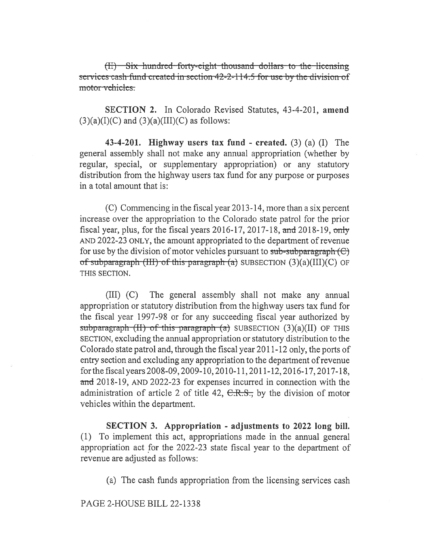$(H)$  Six hundred forty-eight thousand dollars to the licensing services cash fund created in section 42-2-114.5 for use by the division of motor vehicles.

SECTION 2. In Colorado Revised Statutes, 43-4-201, amend  $(3)(a)(I)(C)$  and  $(3)(a)(III)(C)$  as follows:

43-4-201. Highway users tax fund - created. (3) (a) (I) The general assembly shall not make any annual appropriation (whether by regular, special, or supplementary appropriation) or any statutory distribution from the highway users tax fund for any purpose or purposes in a total amount that is:

(C) Commencing in the fiscal year 2013-14, more than a six percent increase over the appropriation to the Colorado state patrol for the prior fiscal year, plus, for the fiscal years  $2016-17$ ,  $2017-18$ , and  $2018-19$ , only AND 2022-23 ONLY, the amount appropriated to the department of revenue for use by the division of motor vehicles pursuant to  $sub-subgraph (C)$ of subparagraph (III) of this paragraph (a) SUBSECTION  $(3)(a)(III)(C)$  OF THIS SECTION.

(III) (C) The general assembly shall not make any annual appropriation or statutory distribution from the highway users tax fund for the fiscal year 1997-98 or for any succeeding fiscal year authorized by subparagraph  $(H)$  of this paragraph  $(a)$  SUBSECTION  $(3)(a)(II)$  OF THIS SECTION, excluding the annual appropriation or statutory distribution to the Colorado state patrol and, through the fiscal year 2011-12 only, the ports of entry section and excluding any appropriation to the department of revenue for the fiscal years 2008-09, 2009-10, 2010-11, 2011-12, 2016-17, 2017-18, and 2018-19, AND 2022-23 for expenses incurred in connection with the administration of article 2 of title 42,  $C.R.S.,$  by the division of motor vehicles within the department.

SECTION 3. Appropriation - adjustments to 2022 long bill. (1) To implement this act, appropriations made in the annual general appropriation act for the 2022-23 state fiscal year to the department of revenue are adjusted as follows:

(a) The cash funds appropriation from the licensing services cash

PAGE 2-HOUSE BILL 22-1338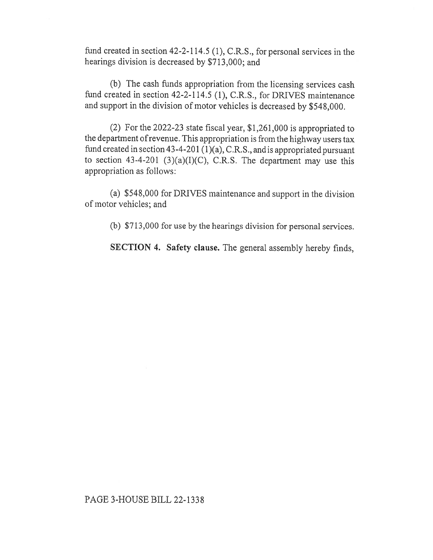fund created in section 42-2-114.5 (1), C.R.S., for personal services in the hearings division is decreased by \$713,000; and

(b) The cash funds appropriation from the licensing services cash fund created in section 42-2-114.5 (1), C.R.S., for DRIVES maintenance and support in the division of motor vehicles is decreased by \$548,000.

(2) For the 2022-23 state fiscal year, \$1,261,000 is appropriated to the department of revenue. This appropriation is from the highway users tax fund created in section 43-4-201 (1)(a), C.R.S., and is appropriated pursuant to section 43-4-201 (3)(a)(I)(C), C.R.S. The department may use this appropriation as follows:

(a) \$548,000 for DRIVES maintenance and support in the division of motor vehicles; and

(b) \$713,000 for use by the hearings division for personal services.

SECTION 4. Safety clause. The general assembly hereby finds,